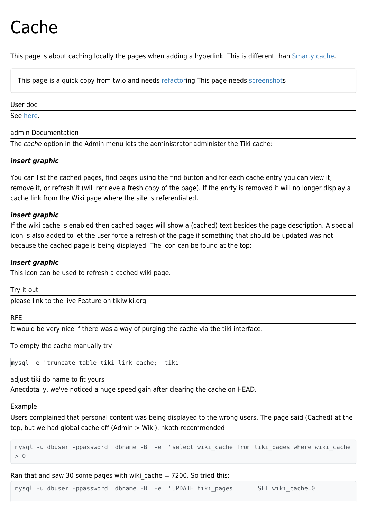# Cache

This page is about caching locally the pages when adding a hyperlink. This is different than [Smarty cache](https://doc.tiki.org/Smarty-Cache).

This page is a quick copy from tw.o and needs [refactor](https://doc.tiki.org/refactor)ing This page needs [screenshots](https://doc.tiki.org/screenshot)

#### User doc

See [here](https://doc.tiki.org/Wiki-Syntax-Links#Link_Cache).

#### admin Documentation

The cache option in the Admin menu lets the administrator administer the Tiki cache:

# *insert graphic*

You can list the cached pages, find pages using the find button and for each cache entry you can view it, remove it, or refresh it (will retrieve a fresh copy of the page). If the enrty is removed it will no longer display a cache link from the Wiki page where the site is referentiated.

#### *insert graphic*

If the wiki cache is enabled then cached pages will show a (cached) text besides the page description. A special icon is also added to let the user force a refresh of the page if something that should be updated was not because the cached page is being displayed. The icon can be found at the top:

# *insert graphic*

This icon can be used to refresh a cached wiki page.

Try it out

please link to the live Feature on tikiwiki.org

#### RFE

It would be very nice if there was a way of purging the cache via the tiki interface.

To empty the cache manually try

mysql -e 'truncate table tiki\_link\_cache;' tiki

adjust tiki db name to fit yours

Anecdotally, we've noticed a huge speed gain after clearing the cache on HEAD.

# Example

Users complained that personal content was being displayed to the wrong users. The page said (Cached) at the top, but we had global cache off (Admin > Wiki). nkoth recommended

mysql -u dbuser -ppassword dbname -B -e "select wiki\_cache from tiki\_pages where wiki\_cache  $>$  0"

Ran that and saw 30 some pages with wiki cache  $= 7200$ . So tried this:

mysql -u dbuser -ppassword dbname -B -e "UPDATE tiki\_pages SET wiki\_cache=0